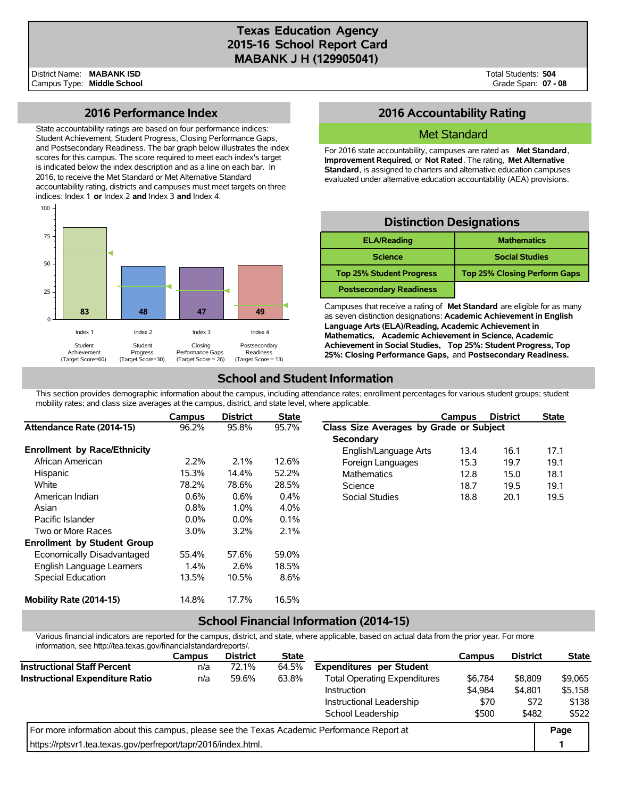# **Texas Education Agency 2015-16 School Report Card MABANK J H (129905041)**

District Name: Campus Type: **Middle School MABANK ISD**

Total Students: **504** Grade Span: **07 - 08**

## **2016 Performance Index**

State accountability ratings are based on four performance indices: Student Achievement, Student Progress, Closing Performance Gaps, and Postsecondary Readiness. The bar graph below illustrates the index scores for this campus. The score required to meet each index's target is indicated below the index description and as a line on each bar. In 2016, to receive the Met Standard or Met Alternative Standard accountability rating, districts and campuses must meet targets on three indices: Index 1 **or** Index 2 **and** Index 3 **and** Index 4.



# **2016 Accountability Rating**

### Met Standard

For 2016 state accountability, campuses are rated as **Met Standard**, **Improvement Required**, or **Not Rated**. The rating, **Met Alternative Standard**, is assigned to charters and alternative education campuses evaluated under alternative education accountability (AEA) provisions.

# **Distinction Designations**

| <b>ELA/Reading</b>              | <b>Mathematics</b>                  |
|---------------------------------|-------------------------------------|
| <b>Science</b>                  | <b>Social Studies</b>               |
| <b>Top 25% Student Progress</b> | <b>Top 25% Closing Perform Gaps</b> |
| <b>Postsecondary Readiness</b>  |                                     |

Campuses that receive a rating of **Met Standard** are eligible for as many as seven distinction designations: **Academic Achievement in English Language Arts (ELA)/Reading, Academic Achievement in Mathematics, Academic Achievement in Science, Academic Achievement in Social Studies, Top 25%: Student Progress, Top 25%: Closing Performance Gaps,** and **Postsecondary Readiness.**

# **School and Student Information**

This section provides demographic information about the campus, including attendance rates; enrollment percentages for various student groups; student mobility rates; and class size averages at the campus, district, and state level, where applicable.

|                                     | Campus  | <b>District</b> | <b>State</b> |                                         | Campus | <b>District</b> | <b>State</b> |  |
|-------------------------------------|---------|-----------------|--------------|-----------------------------------------|--------|-----------------|--------------|--|
| Attendance Rate (2014-15)           | 96.2%   | 95.8%           | 95.7%        | Class Size Averages by Grade or Subject |        |                 |              |  |
|                                     |         |                 |              | Secondary                               |        |                 |              |  |
| <b>Enrollment by Race/Ethnicity</b> |         |                 |              | English/Language Arts                   | 13.4   | 16.1            | 17.1         |  |
| African American                    | $2.2\%$ | 2.1%            | 12.6%        | Foreign Languages                       | 15.3   | 19.7            | 19.1         |  |
| Hispanic                            | 15.3%   | 14.4%           | 52.2%        | <b>Mathematics</b>                      | 12.8   | 15.0            | 18.1         |  |
| White                               | 78.2%   | 78.6%           | 28.5%        | Science                                 | 18.7   | 19.5            | 19.1         |  |
| American Indian                     | 0.6%    | $0.6\%$         | 0.4%         | Social Studies                          | 18.8   | 20.1            | 19.5         |  |
| Asian                               | 0.8%    | 1.0%            | 4.0%         |                                         |        |                 |              |  |
| Pacific Islander                    | $0.0\%$ | $0.0\%$         | 0.1%         |                                         |        |                 |              |  |
| Two or More Races                   | $3.0\%$ | 3.2%            | 2.1%         |                                         |        |                 |              |  |
| <b>Enrollment by Student Group</b>  |         |                 |              |                                         |        |                 |              |  |
| Economically Disadvantaged          | 55.4%   | 57.6%           | 59.0%        |                                         |        |                 |              |  |
| English Language Learners           | 1.4%    | 2.6%            | 18.5%        |                                         |        |                 |              |  |
| Special Education                   | 13.5%   | 10.5%           | 8.6%         |                                         |        |                 |              |  |
| Mobility Rate (2014-15)             | 14.8%   | 17.7%           | 16.5%        |                                         |        |                 |              |  |

## **School Financial Information (2014-15)**

Various financial indicators are reported for the campus, district, and state, where applicable, based on actual data from the prior year. For more information, see http://tea.texas.gov/financialstandardreports/.

|                                                                                             | <b>Campus</b> | <b>District</b> | <b>State</b> |                                     | Campus  | <b>District</b> | <b>State</b> |
|---------------------------------------------------------------------------------------------|---------------|-----------------|--------------|-------------------------------------|---------|-----------------|--------------|
| <b>Instructional Staff Percent</b>                                                          | n/a           | 72.1%           | 64.5%        | <b>Expenditures per Student</b>     |         |                 |              |
| Instructional Expenditure Ratio                                                             | n/a           | 59.6%           | 63.8%        | <b>Total Operating Expenditures</b> | \$6,784 | \$8,809         | \$9.065      |
|                                                                                             |               |                 |              | Instruction                         | \$4,984 | \$4.801         | \$5.158      |
|                                                                                             |               |                 |              | Instructional Leadership            | \$70    | \$72            | \$138        |
|                                                                                             |               |                 |              | School Leadership                   | \$500   | \$482           | \$522        |
| For more information about this campus, please see the Texas Academic Performance Report at |               |                 |              |                                     |         |                 |              |
| https://rptsvr1.tea.texas.gov/perfreport/tapr/2016/index.html.                              |               |                 |              |                                     |         |                 |              |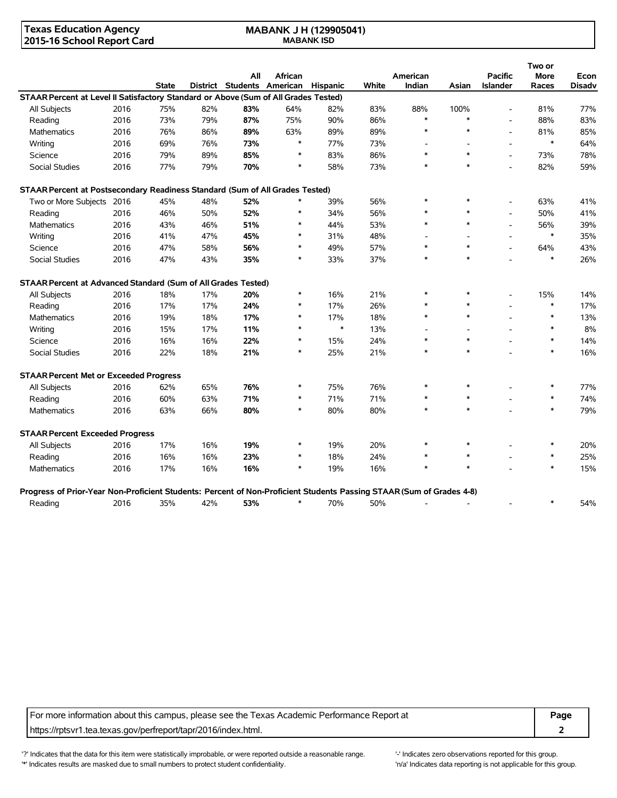### **Texas Education Agency 2015-16 School Report Card**

#### **MABANK J H (129905041) MABANK ISD**

|                                                                                                                      |      |              |     |                                     |         |        |       |          |        |                          | Two or      |               |
|----------------------------------------------------------------------------------------------------------------------|------|--------------|-----|-------------------------------------|---------|--------|-------|----------|--------|--------------------------|-------------|---------------|
|                                                                                                                      |      |              |     | All                                 | African |        |       | American |        | <b>Pacific</b>           | <b>More</b> | Econ          |
|                                                                                                                      |      | <b>State</b> |     | District Students American Hispanic |         |        | White | Indian   | Asian  | <b>Islander</b>          | Races       | <b>Disadv</b> |
| STAAR Percent at Level II Satisfactory Standard or Above (Sum of All Grades Tested)                                  |      |              |     |                                     |         |        |       |          |        |                          |             |               |
| <b>All Subjects</b>                                                                                                  | 2016 | 75%          | 82% | 83%                                 | 64%     | 82%    | 83%   | 88%      | 100%   |                          | 81%         | 77%           |
| Reading                                                                                                              | 2016 | 73%          | 79% | 87%                                 | 75%     | 90%    | 86%   | $\ast$   | $\ast$ | L,                       | 88%         | 83%           |
| Mathematics                                                                                                          | 2016 | 76%          | 86% | 89%                                 | 63%     | 89%    | 89%   | $\ast$   | $\ast$ | $\overline{a}$           | 81%         | 85%           |
| Writing                                                                                                              | 2016 | 69%          | 76% | 73%                                 | $\ast$  | 77%    | 73%   |          |        | $\overline{a}$           | $\ast$      | 64%           |
| Science                                                                                                              | 2016 | 79%          | 89% | 85%                                 | $\ast$  | 83%    | 86%   | $\ast$   | $\ast$ | $\overline{\phantom{a}}$ | 73%         | 78%           |
| Social Studies                                                                                                       | 2016 | 77%          | 79% | 70%                                 | $\ast$  | 58%    | 73%   | $\ast$   | $\ast$ | $\overline{\phantom{a}}$ | 82%         | 59%           |
| STAAR Percent at Postsecondary Readiness Standard (Sum of All Grades Tested)                                         |      |              |     |                                     |         |        |       |          |        |                          |             |               |
| Two or More Subjects 2016                                                                                            |      | 45%          | 48% | 52%                                 |         | 39%    | 56%   | $\ast$   | $\ast$ |                          | 63%         | 41%           |
| Reading                                                                                                              | 2016 | 46%          | 50% | 52%                                 | *       | 34%    | 56%   | *        | $\ast$ |                          | 50%         | 41%           |
| <b>Mathematics</b>                                                                                                   | 2016 | 43%          | 46% | 51%                                 | *       | 44%    | 53%   | $\ast$   | $\ast$ | $\overline{\phantom{a}}$ | 56%         | 39%           |
| Writing                                                                                                              | 2016 | 41%          | 47% | 45%                                 | $\ast$  | 31%    | 48%   |          |        |                          | $\ast$      | 35%           |
| Science                                                                                                              | 2016 | 47%          | 58% | 56%                                 | $\ast$  | 49%    | 57%   | $\ast$   | $\ast$ |                          | 64%         | 43%           |
| Social Studies                                                                                                       | 2016 | 47%          | 43% | 35%                                 | $\ast$  | 33%    | 37%   | $\ast$   | $\ast$ |                          | $\ast$      | 26%           |
| STAAR Percent at Advanced Standard (Sum of All Grades Tested)                                                        |      |              |     |                                     |         |        |       |          |        |                          |             |               |
| All Subjects                                                                                                         | 2016 | 18%          | 17% | 20%                                 | $\ast$  | 16%    | 21%   | $\ast$   | $\ast$ |                          | 15%         | 14%           |
| Reading                                                                                                              | 2016 | 17%          | 17% | 24%                                 | *       | 17%    | 26%   | $\ast$   | $\ast$ |                          | $\ast$      | 17%           |
| <b>Mathematics</b>                                                                                                   | 2016 | 19%          | 18% | 17%                                 | *       | 17%    | 18%   | $\ast$   | $\ast$ |                          | $\ast$      | 13%           |
| Writing                                                                                                              | 2016 | 15%          | 17% | 11%                                 | $\ast$  | $\ast$ | 13%   |          |        |                          | $\ast$      | 8%            |
| Science                                                                                                              | 2016 | 16%          | 16% | 22%                                 | $\ast$  | 15%    | 24%   | $\ast$   | $\ast$ |                          | $\ast$      | 14%           |
| <b>Social Studies</b>                                                                                                | 2016 | 22%          | 18% | 21%                                 | $\ast$  | 25%    | 21%   | $\ast$   | $\ast$ |                          | $\ast$      | 16%           |
| <b>STAAR Percent Met or Exceeded Progress</b>                                                                        |      |              |     |                                     |         |        |       |          |        |                          |             |               |
| All Subjects                                                                                                         | 2016 | 62%          | 65% | 76%                                 | $\ast$  | 75%    | 76%   | $\ast$   |        |                          | $\ast$      | 77%           |
| Reading                                                                                                              | 2016 | 60%          | 63% | 71%                                 | $\ast$  | 71%    | 71%   | $\ast$   |        |                          | $\ast$      | 74%           |
| Mathematics                                                                                                          | 2016 | 63%          | 66% | 80%                                 | $\ast$  | 80%    | 80%   | $\ast$   | $\ast$ |                          | $\ast$      | 79%           |
| <b>STAAR Percent Exceeded Progress</b>                                                                               |      |              |     |                                     |         |        |       |          |        |                          |             |               |
| All Subjects                                                                                                         | 2016 | 17%          | 16% | 19%                                 | $\ast$  | 19%    | 20%   | $\ast$   |        |                          | $\ast$      | 20%           |
| Reading                                                                                                              | 2016 | 16%          | 16% | 23%                                 | $\ast$  | 18%    | 24%   | $\ast$   | $\ast$ |                          | $\ast$      | 25%           |
| <b>Mathematics</b>                                                                                                   | 2016 | 17%          | 16% | 16%                                 | $\ast$  | 19%    | 16%   | $\ast$   | $\ast$ |                          | $\ast$      | 15%           |
| Progress of Prior-Year Non-Proficient Students: Percent of Non-Proficient Students Passing STAAR (Sum of Grades 4-8) |      |              |     |                                     |         |        |       |          |        |                          |             |               |
| Reading                                                                                                              | 2016 | 35%          | 42% | 53%                                 | $\ast$  | 70%    | 50%   |          |        |                          | $\ast$      | 54%           |

For more information about this campus, please see the Texas Academic Performance Report at **Page** https://rptsvr1.tea.texas.gov/perfreport/tapr/2016/index.html. **2**

'?' Indicates that the data for this item were statistically improbable, or were reported outside a reasonable range. '-' Indicates zero observations reported for this group. '\*' Indicates results are masked due to small numbers to protect student confidentiality. Mass are the confidential in the total reporting is not applicable for this group.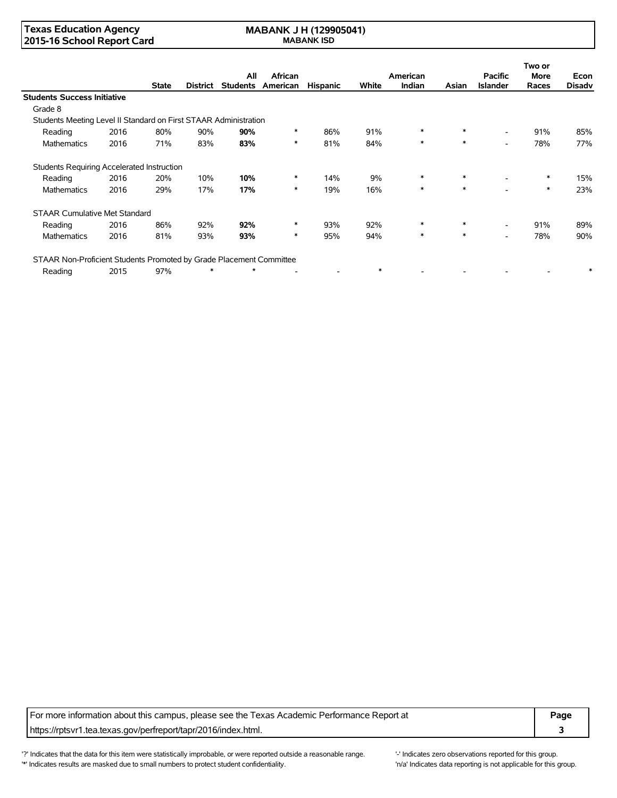### **Texas Education Agency 2015-16 School Report Card**

#### **MABANK J H (129905041) MABANK ISD**

|                                                                     |      |              |          |                        |                            |                 |        |                    |        |                                   | Two or               |                       |
|---------------------------------------------------------------------|------|--------------|----------|------------------------|----------------------------|-----------------|--------|--------------------|--------|-----------------------------------|----------------------|-----------------------|
|                                                                     |      | <b>State</b> | District | All<br><b>Students</b> | <b>African</b><br>American | <b>Hispanic</b> | White  | American<br>Indian | Asian  | <b>Pacific</b><br><b>Islander</b> | <b>More</b><br>Races | Econ<br><b>Disadv</b> |
| <b>Students Success Initiative</b>                                  |      |              |          |                        |                            |                 |        |                    |        |                                   |                      |                       |
| Grade 8                                                             |      |              |          |                        |                            |                 |        |                    |        |                                   |                      |                       |
| Students Meeting Level II Standard on First STAAR Administration    |      |              |          |                        |                            |                 |        |                    |        |                                   |                      |                       |
| Reading                                                             | 2016 | 80%          | 90%      | 90%                    | $\ast$                     | 86%             | 91%    | $\ast$             | $\ast$ | $\overline{\phantom{0}}$          | 91%                  | 85%                   |
| Mathematics                                                         | 2016 | 71%          | 83%      | 83%                    | $\ast$                     | 81%             | 84%    | $\ast$             | $\ast$ | $\overline{\phantom{0}}$          | 78%                  | 77%                   |
| Students Requiring Accelerated Instruction                          |      |              |          |                        |                            |                 |        |                    |        |                                   |                      |                       |
| Reading                                                             | 2016 | 20%          | 10%      | 10%                    | $\ast$                     | 14%             | 9%     | $\ast$             | $\ast$ | $\overline{\phantom{0}}$          | $\ast$               | 15%                   |
| <b>Mathematics</b>                                                  | 2016 | 29%          | 17%      | 17%                    | $\ast$                     | 19%             | 16%    | $\ast$             | $\ast$ |                                   | $\ast$               | 23%                   |
| <b>STAAR Cumulative Met Standard</b>                                |      |              |          |                        |                            |                 |        |                    |        |                                   |                      |                       |
| Reading                                                             | 2016 | 86%          | 92%      | 92%                    | $\ast$                     | 93%             | 92%    | $\ast$             | $\ast$ | $\overline{\phantom{0}}$          | 91%                  | 89%                   |
| <b>Mathematics</b>                                                  | 2016 | 81%          | 93%      | 93%                    | $\ast$                     | 95%             | 94%    | $\ast$             | $\ast$ | $\overline{\phantom{0}}$          | 78%                  | 90%                   |
| STAAR Non-Proficient Students Promoted by Grade Placement Committee |      |              |          |                        |                            |                 |        |                    |        |                                   |                      |                       |
| Reading                                                             | 2015 | 97%          | $\ast$   | $\star$                |                            |                 | $\ast$ |                    |        |                                   |                      |                       |

For more information about this campus, please see the Texas Academic Performance Report at **Page** https://rptsvr1.tea.texas.gov/perfreport/tapr/2016/index.html. **3**

'?' Indicates that the data for this item were statistically improbable, or were reported outside a reasonable range. '' Indicates zero observations reported for this group. '\*' Indicates results are masked due to small numbers to protect student confidentiality. Mass are the confidential in the total reporting is not applicable for this group.